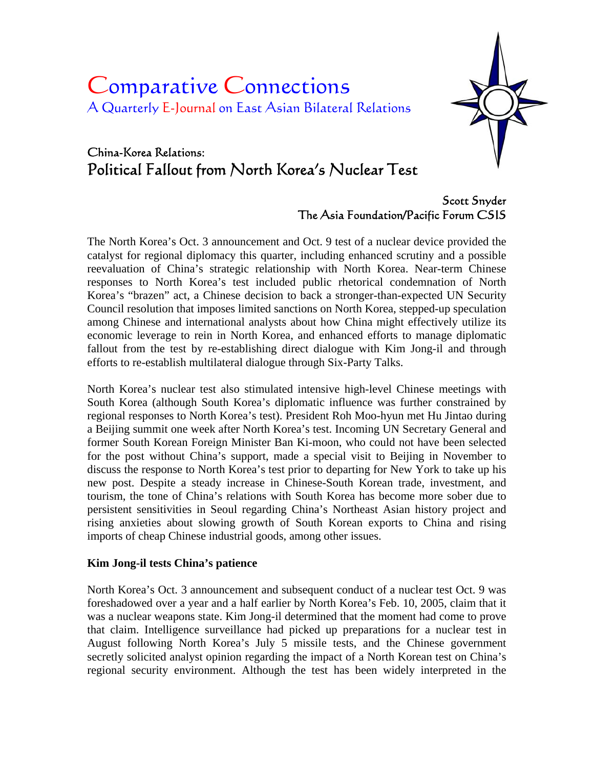# Comparative Connections A Quarterly E-Journal on East Asian Bilateral Relations



## China-Korea Relations: Political Fallout from North Korea's Nuclear Test

## Scott Snyder The Asia Foundation/Pacific Forum CSIS

The North Korea's Oct. 3 announcement and Oct. 9 test of a nuclear device provided the catalyst for regional diplomacy this quarter, including enhanced scrutiny and a possible reevaluation of China's strategic relationship with North Korea. Near-term Chinese responses to North Korea's test included public rhetorical condemnation of North Korea's "brazen" act, a Chinese decision to back a stronger-than-expected UN Security Council resolution that imposes limited sanctions on North Korea, stepped-up speculation among Chinese and international analysts about how China might effectively utilize its economic leverage to rein in North Korea, and enhanced efforts to manage diplomatic fallout from the test by re-establishing direct dialogue with Kim Jong-il and through efforts to re-establish multilateral dialogue through Six-Party Talks.

North Korea's nuclear test also stimulated intensive high-level Chinese meetings with South Korea (although South Korea's diplomatic influence was further constrained by regional responses to North Korea's test). President Roh Moo-hyun met Hu Jintao during a Beijing summit one week after North Korea's test. Incoming UN Secretary General and former South Korean Foreign Minister Ban Ki-moon, who could not have been selected for the post without China's support, made a special visit to Beijing in November to discuss the response to North Korea's test prior to departing for New York to take up his new post. Despite a steady increase in Chinese-South Korean trade, investment, and tourism, the tone of China's relations with South Korea has become more sober due to persistent sensitivities in Seoul regarding China's Northeast Asian history project and rising anxieties about slowing growth of South Korean exports to China and rising imports of cheap Chinese industrial goods, among other issues.

#### **Kim Jong-il tests China's patience**

North Korea's Oct. 3 announcement and subsequent conduct of a nuclear test Oct. 9 was foreshadowed over a year and a half earlier by North Korea's Feb. 10, 2005, claim that it was a nuclear weapons state. Kim Jong-il determined that the moment had come to prove that claim. Intelligence surveillance had picked up preparations for a nuclear test in August following North Korea's July 5 missile tests, and the Chinese government secretly solicited analyst opinion regarding the impact of a North Korean test on China's regional security environment. Although the test has been widely interpreted in the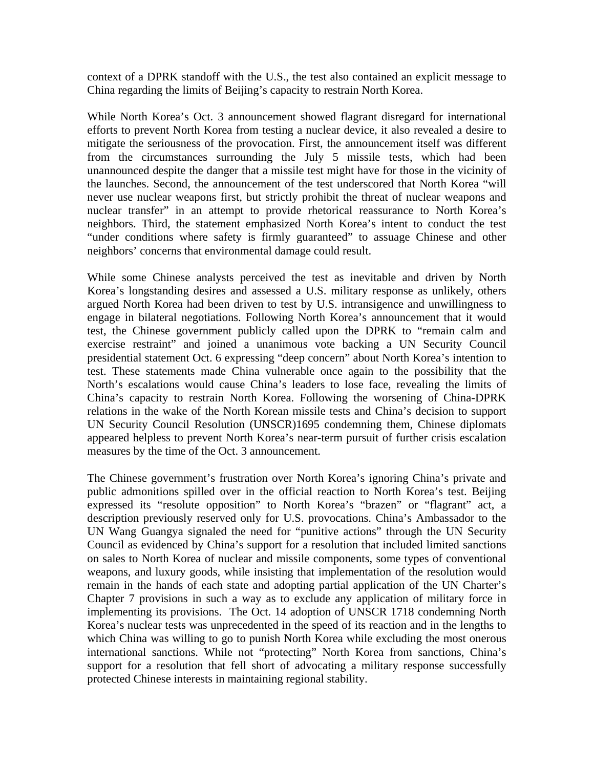context of a DPRK standoff with the U.S., the test also contained an explicit message to China regarding the limits of Beijing's capacity to restrain North Korea.

While North Korea's Oct. 3 announcement showed flagrant disregard for international efforts to prevent North Korea from testing a nuclear device, it also revealed a desire to mitigate the seriousness of the provocation. First, the announcement itself was different from the circumstances surrounding the July 5 missile tests, which had been unannounced despite the danger that a missile test might have for those in the vicinity of the launches. Second, the announcement of the test underscored that North Korea "will never use nuclear weapons first, but strictly prohibit the threat of nuclear weapons and nuclear transfer" in an attempt to provide rhetorical reassurance to North Korea's neighbors. Third, the statement emphasized North Korea's intent to conduct the test "under conditions where safety is firmly guaranteed" to assuage Chinese and other neighbors' concerns that environmental damage could result.

While some Chinese analysts perceived the test as inevitable and driven by North Korea's longstanding desires and assessed a U.S. military response as unlikely, others argued North Korea had been driven to test by U.S. intransigence and unwillingness to engage in bilateral negotiations. Following North Korea's announcement that it would test, the Chinese government publicly called upon the DPRK to "remain calm and exercise restraint" and joined a unanimous vote backing a UN Security Council presidential statement Oct. 6 expressing "deep concern" about North Korea's intention to test. These statements made China vulnerable once again to the possibility that the North's escalations would cause China's leaders to lose face, revealing the limits of China's capacity to restrain North Korea. Following the worsening of China-DPRK relations in the wake of the North Korean missile tests and China's decision to support UN Security Council Resolution (UNSCR)1695 condemning them, Chinese diplomats appeared helpless to prevent North Korea's near-term pursuit of further crisis escalation measures by the time of the Oct. 3 announcement.

The Chinese government's frustration over North Korea's ignoring China's private and public admonitions spilled over in the official reaction to North Korea's test. Beijing expressed its "resolute opposition" to North Korea's "brazen" or "flagrant" act, a description previously reserved only for U.S. provocations. China's Ambassador to the UN Wang Guangya signaled the need for "punitive actions" through the UN Security Council as evidenced by China's support for a resolution that included limited sanctions on sales to North Korea of nuclear and missile components, some types of conventional weapons, and luxury goods, while insisting that implementation of the resolution would remain in the hands of each state and adopting partial application of the UN Charter's Chapter 7 provisions in such a way as to exclude any application of military force in implementing its provisions. The Oct. 14 adoption of UNSCR 1718 condemning North Korea's nuclear tests was unprecedented in the speed of its reaction and in the lengths to which China was willing to go to punish North Korea while excluding the most onerous international sanctions. While not "protecting" North Korea from sanctions, China's support for a resolution that fell short of advocating a military response successfully protected Chinese interests in maintaining regional stability.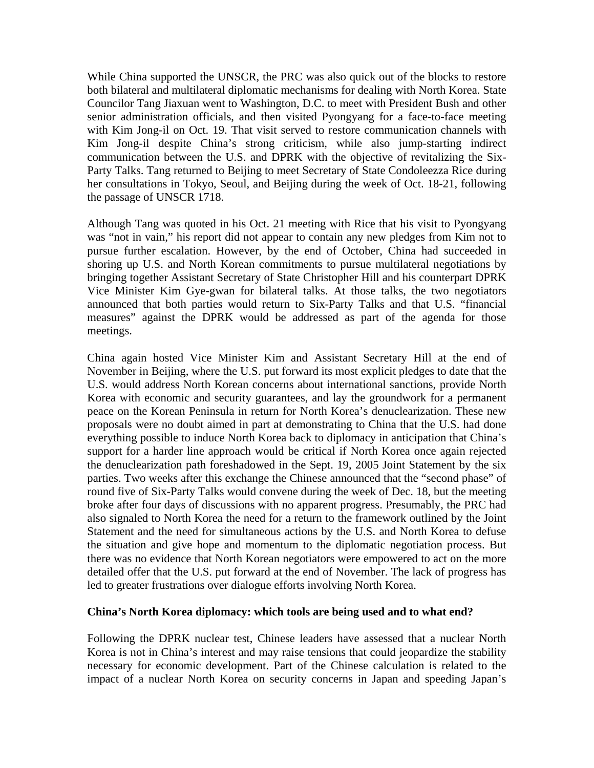While China supported the UNSCR, the PRC was also quick out of the blocks to restore both bilateral and multilateral diplomatic mechanisms for dealing with North Korea. State Councilor Tang Jiaxuan went to Washington, D.C. to meet with President Bush and other senior administration officials, and then visited Pyongyang for a face-to-face meeting with Kim Jong-il on Oct. 19. That visit served to restore communication channels with Kim Jong-il despite China's strong criticism, while also jump-starting indirect communication between the U.S. and DPRK with the objective of revitalizing the Six-Party Talks. Tang returned to Beijing to meet Secretary of State Condoleezza Rice during her consultations in Tokyo, Seoul, and Beijing during the week of Oct. 18-21, following the passage of UNSCR 1718.

Although Tang was quoted in his Oct. 21 meeting with Rice that his visit to Pyongyang was "not in vain," his report did not appear to contain any new pledges from Kim not to pursue further escalation. However, by the end of October, China had succeeded in shoring up U.S. and North Korean commitments to pursue multilateral negotiations by bringing together Assistant Secretary of State Christopher Hill and his counterpart DPRK Vice Minister Kim Gye-gwan for bilateral talks. At those talks, the two negotiators announced that both parties would return to Six-Party Talks and that U.S. "financial measures" against the DPRK would be addressed as part of the agenda for those meetings.

China again hosted Vice Minister Kim and Assistant Secretary Hill at the end of November in Beijing, where the U.S. put forward its most explicit pledges to date that the U.S. would address North Korean concerns about international sanctions, provide North Korea with economic and security guarantees, and lay the groundwork for a permanent peace on the Korean Peninsula in return for North Korea's denuclearization. These new proposals were no doubt aimed in part at demonstrating to China that the U.S. had done everything possible to induce North Korea back to diplomacy in anticipation that China's support for a harder line approach would be critical if North Korea once again rejected the denuclearization path foreshadowed in the Sept. 19, 2005 Joint Statement by the six parties. Two weeks after this exchange the Chinese announced that the "second phase" of round five of Six-Party Talks would convene during the week of Dec. 18, but the meeting broke after four days of discussions with no apparent progress. Presumably, the PRC had also signaled to North Korea the need for a return to the framework outlined by the Joint Statement and the need for simultaneous actions by the U.S. and North Korea to defuse the situation and give hope and momentum to the diplomatic negotiation process. But there was no evidence that North Korean negotiators were empowered to act on the more detailed offer that the U.S. put forward at the end of November. The lack of progress has led to greater frustrations over dialogue efforts involving North Korea.

#### **China's North Korea diplomacy: which tools are being used and to what end?**

Following the DPRK nuclear test, Chinese leaders have assessed that a nuclear North Korea is not in China's interest and may raise tensions that could jeopardize the stability necessary for economic development. Part of the Chinese calculation is related to the impact of a nuclear North Korea on security concerns in Japan and speeding Japan's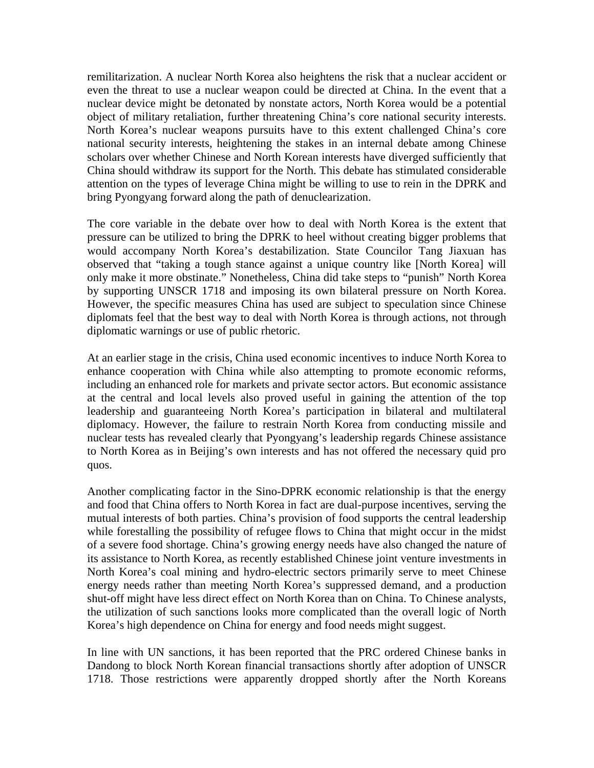remilitarization. A nuclear North Korea also heightens the risk that a nuclear accident or even the threat to use a nuclear weapon could be directed at China. In the event that a nuclear device might be detonated by nonstate actors, North Korea would be a potential object of military retaliation, further threatening China's core national security interests. North Korea's nuclear weapons pursuits have to this extent challenged China's core national security interests, heightening the stakes in an internal debate among Chinese scholars over whether Chinese and North Korean interests have diverged sufficiently that China should withdraw its support for the North. This debate has stimulated considerable attention on the types of leverage China might be willing to use to rein in the DPRK and bring Pyongyang forward along the path of denuclearization.

The core variable in the debate over how to deal with North Korea is the extent that pressure can be utilized to bring the DPRK to heel without creating bigger problems that would accompany North Korea's destabilization. State Councilor Tang Jiaxuan has observed that "taking a tough stance against a unique country like [North Korea] will only make it more obstinate." Nonetheless, China did take steps to "punish" North Korea by supporting UNSCR 1718 and imposing its own bilateral pressure on North Korea. However, the specific measures China has used are subject to speculation since Chinese diplomats feel that the best way to deal with North Korea is through actions, not through diplomatic warnings or use of public rhetoric.

At an earlier stage in the crisis, China used economic incentives to induce North Korea to enhance cooperation with China while also attempting to promote economic reforms, including an enhanced role for markets and private sector actors. But economic assistance at the central and local levels also proved useful in gaining the attention of the top leadership and guaranteeing North Korea's participation in bilateral and multilateral diplomacy. However, the failure to restrain North Korea from conducting missile and nuclear tests has revealed clearly that Pyongyang's leadership regards Chinese assistance to North Korea as in Beijing's own interests and has not offered the necessary quid pro quos.

Another complicating factor in the Sino-DPRK economic relationship is that the energy and food that China offers to North Korea in fact are dual-purpose incentives, serving the mutual interests of both parties. China's provision of food supports the central leadership while forestalling the possibility of refugee flows to China that might occur in the midst of a severe food shortage. China's growing energy needs have also changed the nature of its assistance to North Korea, as recently established Chinese joint venture investments in North Korea's coal mining and hydro-electric sectors primarily serve to meet Chinese energy needs rather than meeting North Korea's suppressed demand, and a production shut-off might have less direct effect on North Korea than on China. To Chinese analysts, the utilization of such sanctions looks more complicated than the overall logic of North Korea's high dependence on China for energy and food needs might suggest.

In line with UN sanctions, it has been reported that the PRC ordered Chinese banks in Dandong to block North Korean financial transactions shortly after adoption of UNSCR 1718. Those restrictions were apparently dropped shortly after the North Koreans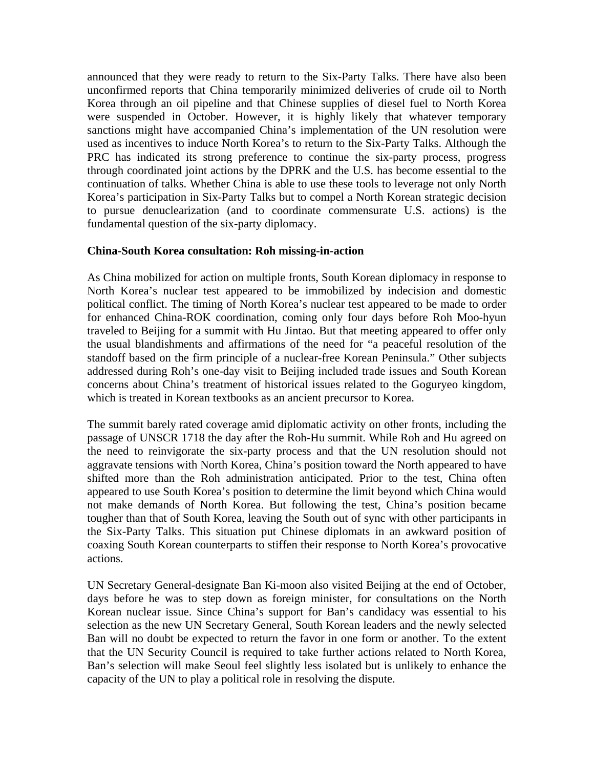announced that they were ready to return to the Six-Party Talks. There have also been unconfirmed reports that China temporarily minimized deliveries of crude oil to North Korea through an oil pipeline and that Chinese supplies of diesel fuel to North Korea were suspended in October. However, it is highly likely that whatever temporary sanctions might have accompanied China's implementation of the UN resolution were used as incentives to induce North Korea's to return to the Six-Party Talks. Although the PRC has indicated its strong preference to continue the six-party process, progress through coordinated joint actions by the DPRK and the U.S. has become essential to the continuation of talks. Whether China is able to use these tools to leverage not only North Korea's participation in Six-Party Talks but to compel a North Korean strategic decision to pursue denuclearization (and to coordinate commensurate U.S. actions) is the fundamental question of the six-party diplomacy.

#### **China-South Korea consultation: Roh missing-in-action**

As China mobilized for action on multiple fronts, South Korean diplomacy in response to North Korea's nuclear test appeared to be immobilized by indecision and domestic political conflict. The timing of North Korea's nuclear test appeared to be made to order for enhanced China-ROK coordination, coming only four days before Roh Moo-hyun traveled to Beijing for a summit with Hu Jintao. But that meeting appeared to offer only the usual blandishments and affirmations of the need for "a peaceful resolution of the standoff based on the firm principle of a nuclear-free Korean Peninsula." Other subjects addressed during Roh's one-day visit to Beijing included trade issues and South Korean concerns about China's treatment of historical issues related to the Goguryeo kingdom, which is treated in Korean textbooks as an ancient precursor to Korea.

The summit barely rated coverage amid diplomatic activity on other fronts, including the passage of UNSCR 1718 the day after the Roh-Hu summit. While Roh and Hu agreed on the need to reinvigorate the six-party process and that the UN resolution should not aggravate tensions with North Korea, China's position toward the North appeared to have shifted more than the Roh administration anticipated. Prior to the test, China often appeared to use South Korea's position to determine the limit beyond which China would not make demands of North Korea. But following the test, China's position became tougher than that of South Korea, leaving the South out of sync with other participants in the Six-Party Talks. This situation put Chinese diplomats in an awkward position of coaxing South Korean counterparts to stiffen their response to North Korea's provocative actions.

UN Secretary General-designate Ban Ki-moon also visited Beijing at the end of October, days before he was to step down as foreign minister, for consultations on the North Korean nuclear issue. Since China's support for Ban's candidacy was essential to his selection as the new UN Secretary General, South Korean leaders and the newly selected Ban will no doubt be expected to return the favor in one form or another. To the extent that the UN Security Council is required to take further actions related to North Korea, Ban's selection will make Seoul feel slightly less isolated but is unlikely to enhance the capacity of the UN to play a political role in resolving the dispute.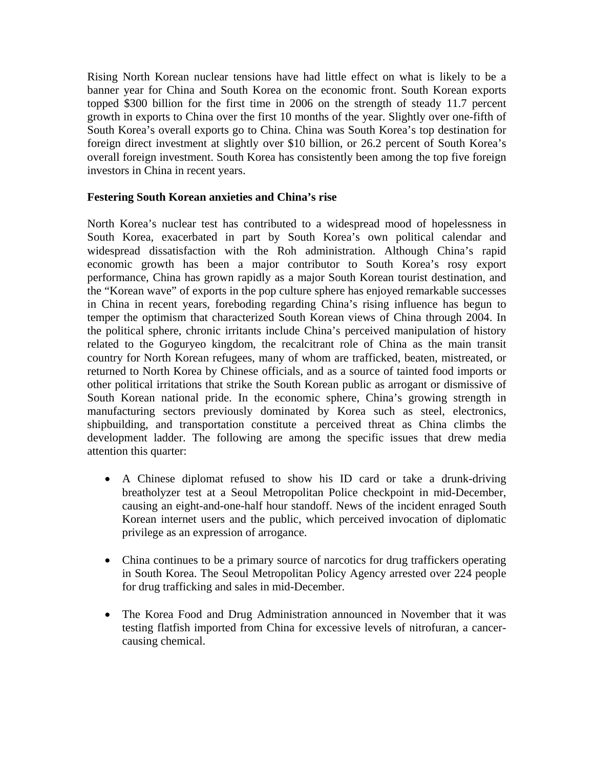Rising North Korean nuclear tensions have had little effect on what is likely to be a banner year for China and South Korea on the economic front. South Korean exports topped \$300 billion for the first time in 2006 on the strength of steady 11.7 percent growth in exports to China over the first 10 months of the year. Slightly over one-fifth of South Korea's overall exports go to China. China was South Korea's top destination for foreign direct investment at slightly over \$10 billion, or 26.2 percent of South Korea's overall foreign investment. South Korea has consistently been among the top five foreign investors in China in recent years.

#### **Festering South Korean anxieties and China's rise**

North Korea's nuclear test has contributed to a widespread mood of hopelessness in South Korea, exacerbated in part by South Korea's own political calendar and widespread dissatisfaction with the Roh administration. Although China's rapid economic growth has been a major contributor to South Korea's rosy export performance, China has grown rapidly as a major South Korean tourist destination, and the "Korean wave" of exports in the pop culture sphere has enjoyed remarkable successes in China in recent years, foreboding regarding China's rising influence has begun to temper the optimism that characterized South Korean views of China through 2004. In the political sphere, chronic irritants include China's perceived manipulation of history related to the Goguryeo kingdom, the recalcitrant role of China as the main transit country for North Korean refugees, many of whom are trafficked, beaten, mistreated, or returned to North Korea by Chinese officials, and as a source of tainted food imports or other political irritations that strike the South Korean public as arrogant or dismissive of South Korean national pride. In the economic sphere, China's growing strength in manufacturing sectors previously dominated by Korea such as steel, electronics, shipbuilding, and transportation constitute a perceived threat as China climbs the development ladder. The following are among the specific issues that drew media attention this quarter:

- A Chinese diplomat refused to show his ID card or take a drunk-driving breatholyzer test at a Seoul Metropolitan Police checkpoint in mid-December, causing an eight-and-one-half hour standoff. News of the incident enraged South Korean internet users and the public, which perceived invocation of diplomatic privilege as an expression of arrogance.
- China continues to be a primary source of narcotics for drug traffickers operating in South Korea. The Seoul Metropolitan Policy Agency arrested over 224 people for drug trafficking and sales in mid-December.
- The Korea Food and Drug Administration announced in November that it was testing flatfish imported from China for excessive levels of nitrofuran, a cancercausing chemical.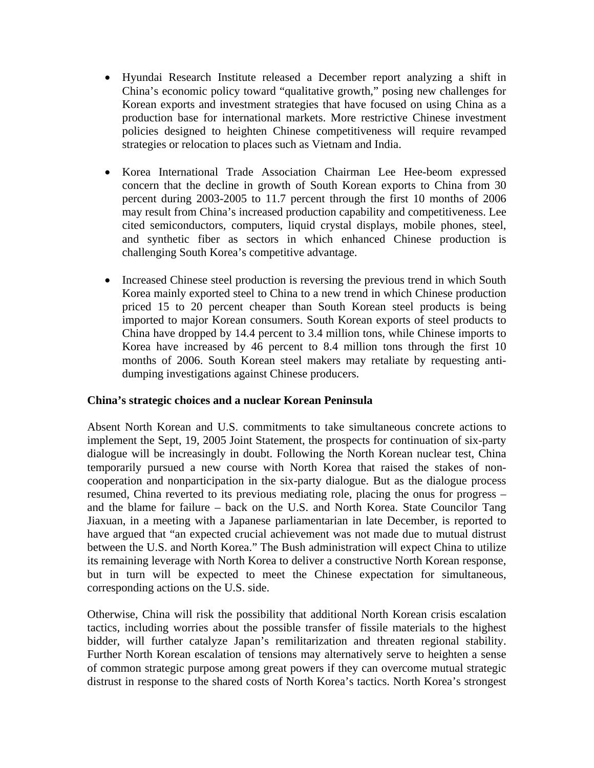- Hyundai Research Institute released a December report analyzing a shift in China's economic policy toward "qualitative growth," posing new challenges for Korean exports and investment strategies that have focused on using China as a production base for international markets. More restrictive Chinese investment policies designed to heighten Chinese competitiveness will require revamped strategies or relocation to places such as Vietnam and India.
- Korea International Trade Association Chairman Lee Hee-beom expressed concern that the decline in growth of South Korean exports to China from 30 percent during 2003-2005 to 11.7 percent through the first 10 months of 2006 may result from China's increased production capability and competitiveness. Lee cited semiconductors, computers, liquid crystal displays, mobile phones, steel, and synthetic fiber as sectors in which enhanced Chinese production is challenging South Korea's competitive advantage.
- Increased Chinese steel production is reversing the previous trend in which South Korea mainly exported steel to China to a new trend in which Chinese production priced 15 to 20 percent cheaper than South Korean steel products is being imported to major Korean consumers. South Korean exports of steel products to China have dropped by 14.4 percent to 3.4 million tons, while Chinese imports to Korea have increased by 46 percent to 8.4 million tons through the first 10 months of 2006. South Korean steel makers may retaliate by requesting antidumping investigations against Chinese producers.

#### **China's strategic choices and a nuclear Korean Peninsula**

Absent North Korean and U.S. commitments to take simultaneous concrete actions to implement the Sept, 19, 2005 Joint Statement, the prospects for continuation of six-party dialogue will be increasingly in doubt. Following the North Korean nuclear test, China temporarily pursued a new course with North Korea that raised the stakes of noncooperation and nonparticipation in the six-party dialogue. But as the dialogue process resumed, China reverted to its previous mediating role, placing the onus for progress – and the blame for failure – back on the U.S. and North Korea. State Councilor Tang Jiaxuan, in a meeting with a Japanese parliamentarian in late December, is reported to have argued that "an expected crucial achievement was not made due to mutual distrust between the U.S. and North Korea." The Bush administration will expect China to utilize its remaining leverage with North Korea to deliver a constructive North Korean response, but in turn will be expected to meet the Chinese expectation for simultaneous, corresponding actions on the U.S. side.

Otherwise, China will risk the possibility that additional North Korean crisis escalation tactics, including worries about the possible transfer of fissile materials to the highest bidder, will further catalyze Japan's remilitarization and threaten regional stability. Further North Korean escalation of tensions may alternatively serve to heighten a sense of common strategic purpose among great powers if they can overcome mutual strategic distrust in response to the shared costs of North Korea's tactics. North Korea's strongest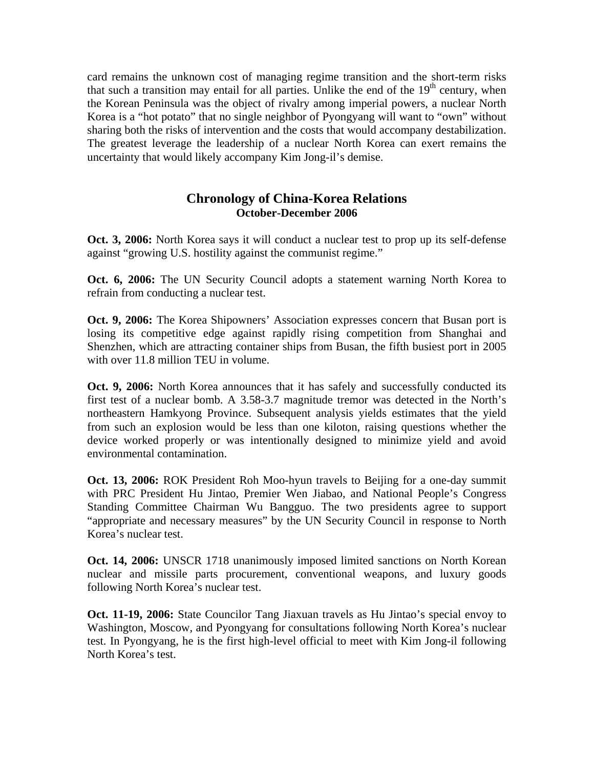card remains the unknown cost of managing regime transition and the short-term risks that such a transition may entail for all parties. Unlike the end of the 19<sup>th</sup> century, when the Korean Peninsula was the object of rivalry among imperial powers, a nuclear North Korea is a "hot potato" that no single neighbor of Pyongyang will want to "own" without sharing both the risks of intervention and the costs that would accompany destabilization. The greatest leverage the leadership of a nuclear North Korea can exert remains the uncertainty that would likely accompany Kim Jong-il's demise.

### **Chronology of China-Korea Relations October-December 2006**

**Oct. 3, 2006:** North Korea says it will conduct a nuclear test to prop up its self-defense against "growing U.S. hostility against the communist regime."

**Oct. 6, 2006:** The UN Security Council adopts a statement warning North Korea to refrain from conducting a nuclear test.

**Oct. 9, 2006:** The Korea Shipowners' Association expresses concern that Busan port is losing its competitive edge against rapidly rising competition from Shanghai and Shenzhen, which are attracting container ships from Busan, the fifth busiest port in 2005 with over 11.8 million TEU in volume.

**Oct. 9, 2006:** North Korea announces that it has safely and successfully conducted its first test of a nuclear bomb. A 3.58-3.7 magnitude tremor was detected in the North's northeastern Hamkyong Province. Subsequent analysis yields estimates that the yield from such an explosion would be less than one kiloton, raising questions whether the device worked properly or was intentionally designed to minimize yield and avoid environmental contamination.

**Oct. 13, 2006:** ROK President Roh Moo-hyun travels to Beijing for a one-day summit with PRC President Hu Jintao, Premier Wen Jiabao, and National People's Congress Standing Committee Chairman Wu Bangguo. The two presidents agree to support "appropriate and necessary measures" by the UN Security Council in response to North Korea's nuclear test.

**Oct. 14, 2006:** UNSCR 1718 unanimously imposed limited sanctions on North Korean nuclear and missile parts procurement, conventional weapons, and luxury goods following North Korea's nuclear test.

**Oct. 11-19, 2006:** State Councilor Tang Jiaxuan travels as Hu Jintao's special envoy to Washington, Moscow, and Pyongyang for consultations following North Korea's nuclear test. In Pyongyang, he is the first high-level official to meet with Kim Jong-il following North Korea's test.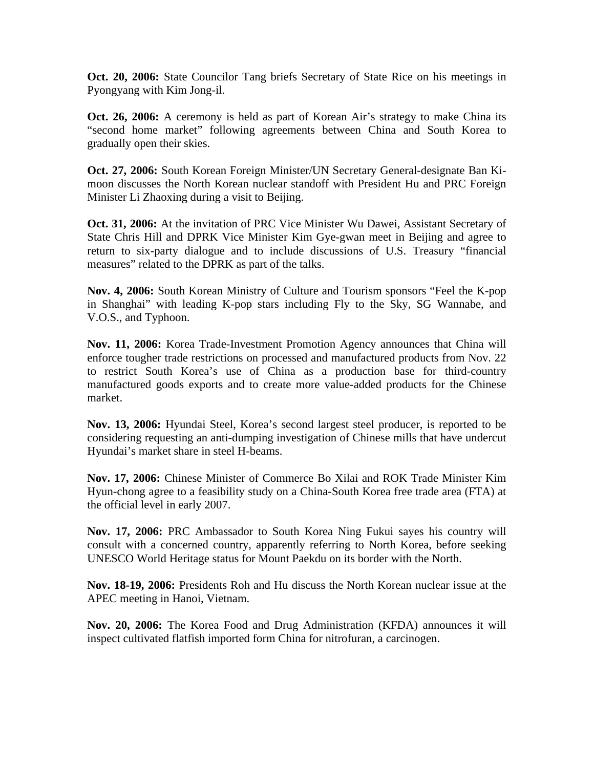**Oct. 20, 2006:** State Councilor Tang briefs Secretary of State Rice on his meetings in Pyongyang with Kim Jong-il.

**Oct. 26, 2006:** A ceremony is held as part of Korean Air's strategy to make China its "second home market" following agreements between China and South Korea to gradually open their skies.

**Oct. 27, 2006:** South Korean Foreign Minister/UN Secretary General-designate Ban Kimoon discusses the North Korean nuclear standoff with President Hu and PRC Foreign Minister Li Zhaoxing during a visit to Beijing.

**Oct. 31, 2006:** At the invitation of PRC Vice Minister Wu Dawei, Assistant Secretary of State Chris Hill and DPRK Vice Minister Kim Gye-gwan meet in Beijing and agree to return to six-party dialogue and to include discussions of U.S. Treasury "financial measures" related to the DPRK as part of the talks.

**Nov. 4, 2006:** South Korean Ministry of Culture and Tourism sponsors "Feel the K-pop in Shanghai" with leading K-pop stars including Fly to the Sky, SG Wannabe, and V.O.S., and Typhoon.

**Nov. 11, 2006:** Korea Trade-Investment Promotion Agency announces that China will enforce tougher trade restrictions on processed and manufactured products from Nov. 22 to restrict South Korea's use of China as a production base for third-country manufactured goods exports and to create more value-added products for the Chinese market.

**Nov. 13, 2006:** Hyundai Steel, Korea's second largest steel producer, is reported to be considering requesting an anti-dumping investigation of Chinese mills that have undercut Hyundai's market share in steel H-beams.

**Nov. 17, 2006:** Chinese Minister of Commerce Bo Xilai and ROK Trade Minister Kim Hyun-chong agree to a feasibility study on a China-South Korea free trade area (FTA) at the official level in early 2007.

**Nov. 17, 2006:** PRC Ambassador to South Korea Ning Fukui sayes his country will consult with a concerned country, apparently referring to North Korea, before seeking UNESCO World Heritage status for Mount Paekdu on its border with the North.

**Nov. 18-19, 2006:** Presidents Roh and Hu discuss the North Korean nuclear issue at the APEC meeting in Hanoi, Vietnam.

**Nov. 20, 2006:** The Korea Food and Drug Administration (KFDA) announces it will inspect cultivated flatfish imported form China for nitrofuran, a carcinogen.